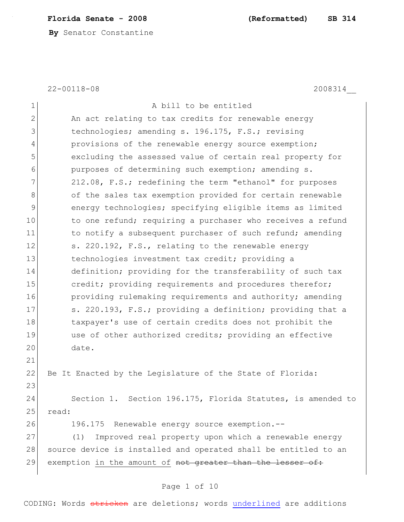# **Florida Senate - 2008 (Reformatted) SB 314**

**By** Senator Constantine

22-00118-08 2008314\_\_

| 1              | A bill to be entitled                                           |
|----------------|-----------------------------------------------------------------|
| $\mathbf{2}$   | An act relating to tax credits for renewable energy             |
| 3              | technologies; amending s. 196.175, F.S.; revising               |
| $\overline{4}$ | provisions of the renewable energy source exemption;            |
| 5              | excluding the assessed value of certain real property for       |
| 6              | purposes of determining such exemption; amending s.             |
| 7              | 212.08, F.S.; redefining the term "ethanol" for purposes        |
| 8              | of the sales tax exemption provided for certain renewable       |
| 9              | energy technologies; specifying eligible items as limited       |
| 10             | to one refund; requiring a purchaser who receives a refund      |
| 11             | to notify a subsequent purchaser of such refund; amending       |
| 12             | s. 220.192, F.S., relating to the renewable energy              |
| 13             | technologies investment tax credit; providing a                 |
| 14             | definition; providing for the transferability of such tax       |
| 15             | credit; providing requirements and procedures therefor;         |
| 16             | providing rulemaking requirements and authority; amending       |
| 17             | s. 220.193, F.S.; providing a definition; providing that a      |
| 18             | taxpayer's use of certain credits does not prohibit the         |
| 19             | use of other authorized credits; providing an effective         |
| 20             | date.                                                           |
| 21             |                                                                 |
| 22             | Be It Enacted by the Legislature of the State of Florida:       |
| 23             |                                                                 |
| 24             | Section 1. Section 196.175, Florida Statutes, is amended to     |
| 25             | read:                                                           |
| 26             | 196.175 Renewable energy source exemption.--                    |
| 27             | Improved real property upon which a renewable energy<br>(1)     |
| 28             | source device is installed and operated shall be entitled to an |
| 29             | exemption in the amount of not greater than the lesser of:      |

# Page 1 of 10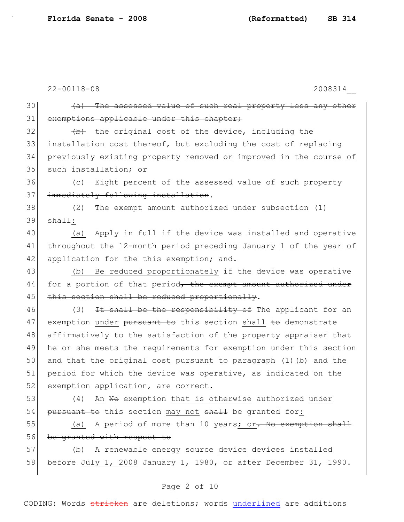$30$  (a) The assessed value of such real property less any other 31 exemptions applicable under this chapter;  $32$  (b) the original cost of the device, including the 33 installation cost thereof, but excluding the cost of replacing 34 previously existing property removed or improved in the course of 35 such installation<del>; or</del> 36 (c) Eight percent of the assessed value of such property 37 immediately following installation. 38 (2) The exempt amount authorized under subsection (1) 39 shall: 40 (a) Apply in full if the device was installed and operative 41 throughout the 12-month period preceding January 1 of the year of 42 application for the  $\frac{1}{2}$  exemption; and. 43 (b) Be reduced proportionately if the device was operative 44 for a portion of that period, the exempt amount authorized under 45 this section shall be reduced proportionally. 46 (3) It shall be the responsibility of The applicant for an 47 exemption under pursuant to this section shall to demonstrate 48 affirmatively to the satisfaction of the property appraiser that 49 he or she meets the requirements for exemption under this section 50 and that the original cost pursuant to paragraph  $(1)$  (b) and the 51 period for which the device was operative, as indicated on the 52 exemption application, are correct. 53 (4) An No exemption that is otherwise authorized under 54 pursuant to this section may not shall be granted for: 55 (a) A period of more than 10 years; or. No exemption shall 56 be granted with respect to 57 (b) A renewable energy source device devices installed 58| before July 1, 2008 <del>January 1, 1980, or after December 31, 1990</del>.

# Page 2 of 10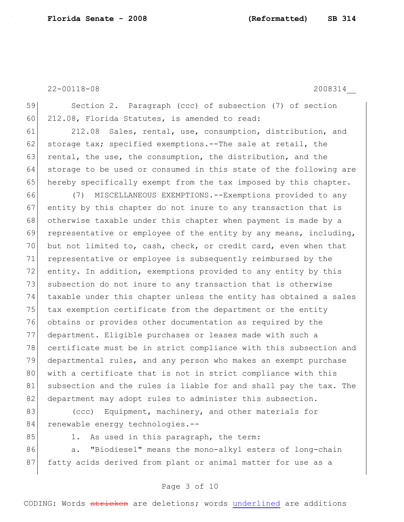59 Section 2. Paragraph (ccc) of subsection (7) of section 60 212.08, Florida Statutes, is amended to read:

61 212.08 Sales, rental, use, consumption, distribution, and 62 storage tax; specified exemptions.--The sale at retail, the 63 rental, the use, the consumption, the distribution, and the 64 storage to be used or consumed in this state of the following are 65 hereby specifically exempt from the tax imposed by this chapter.

66 (7) MISCELLANEOUS EXEMPTIONS.--Exemptions provided to any 67 entity by this chapter do not inure to any transaction that is 68 otherwise taxable under this chapter when payment is made by a 69 representative or employee of the entity by any means, including, 70 but not limited to, cash, check, or credit card, even when that 71 representative or employee is subsequently reimbursed by the 72 entity. In addition, exemptions provided to any entity by this 73 subsection do not inure to any transaction that is otherwise 74 taxable under this chapter unless the entity has obtained a sales 75 tax exemption certificate from the department or the entity 76 obtains or provides other documentation as required by the 77 department. Eligible purchases or leases made with such a 78 certificate must be in strict compliance with this subsection and 79 departmental rules, and any person who makes an exempt purchase 80 with a certificate that is not in strict compliance with this 81 subsection and the rules is liable for and shall pay the tax. The 82 department may adopt rules to administer this subsection.

83 (ccc) Equipment, machinery, and other materials for 84 renewable energy technologies.--

- 
- 85 1. As used in this paragraph, the term:

86 a. "Biodiesel" means the mono-alkyl esters of long-chain 87 fatty acids derived from plant or animal matter for use as a

# Page 3 of 10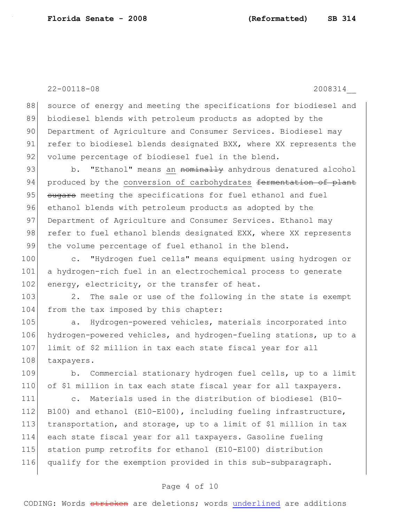88 source of energy and meeting the specifications for biodiesel and 89 biodiesel blends with petroleum products as adopted by the 90 Department of Agriculture and Consumer Services. Biodiesel may 91 refer to biodiesel blends designated BXX, where XX represents the 92 volume percentage of biodiesel fuel in the blend.

93 b. "Ethanol" means an <del>nominally</del> anhydrous denatured alcohol 94 produced by the conversion of carbohydrates formentation of plant 95 sugars meeting the specifications for fuel ethanol and fuel 96 ethanol blends with petroleum products as adopted by the 97 Department of Agriculture and Consumer Services. Ethanol may 98 refer to fuel ethanol blends designated EXX, where XX represents 99 the volume percentage of fuel ethanol in the blend.

100 c. "Hydrogen fuel cells" means equipment using hydrogen or 101 a hydrogen-rich fuel in an electrochemical process to generate 102 energy, electricity, or the transfer of heat.

103 2. The sale or use of the following in the state is exempt 104 from the tax imposed by this chapter:

105 a. Hydrogen-powered vehicles, materials incorporated into 106 hydrogen-powered vehicles, and hydrogen-fueling stations, up to a 107 limit of \$2 million in tax each state fiscal year for all 108 taxpayers.

109 b. Commercial stationary hydrogen fuel cells, up to a limit 110 of \$1 million in tax each state fiscal year for all taxpayers.

 c. Materials used in the distribution of biodiesel (B10- 112 B100) and ethanol (E10-E100), including fueling infrastructure, transportation, and storage, up to a limit of \$1 million in tax each state fiscal year for all taxpayers. Gasoline fueling station pump retrofits for ethanol (E10-E100) distribution qualify for the exemption provided in this sub-subparagraph.

## Page 4 of 10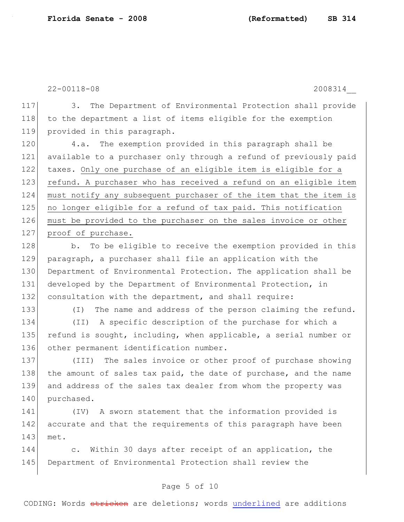117 3. The Department of Environmental Protection shall provide 118 to the department a list of items eligible for the exemption 119 provided in this paragraph.

 4.a. The exemption provided in this paragraph shall be available to a purchaser only through a refund of previously paid taxes. Only one purchase of an eligible item is eligible for a 123 refund. A purchaser who has received a refund on an eligible item must notify any subsequent purchaser of the item that the item is 125 no longer eligible for a refund of tax paid. This notification must be provided to the purchaser on the sales invoice or other 127 proof of purchase.

128 b. To be eligible to receive the exemption provided in this 129 paragraph, a purchaser shall file an application with the 130 Department of Environmental Protection. The application shall be 131 developed by the Department of Environmental Protection, in 132 consultation with the department, and shall require:

133 (I) The name and address of the person claiming the refund. 134 (II) A specific description of the purchase for which a 135 refund is sought, including, when applicable, a serial number or 136 other permanent identification number.

137 (III) The sales invoice or other proof of purchase showing 138 the amount of sales tax paid, the date of purchase, and the name 139 and address of the sales tax dealer from whom the property was 140 purchased.

141 (IV) A sworn statement that the information provided is 142 accurate and that the requirements of this paragraph have been 143 met.

144 c. Within 30 days after receipt of an application, the 145 Department of Environmental Protection shall review the

# Page 5 of 10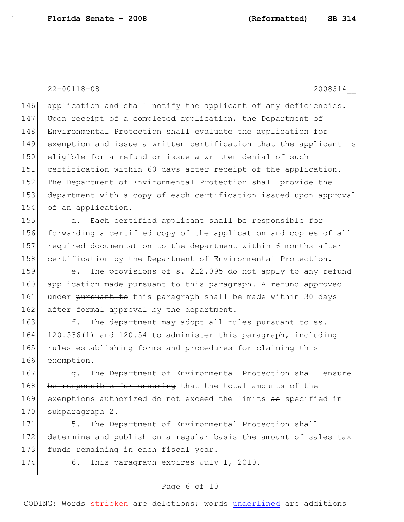146 application and shall notify the applicant of any deficiencies. 147 Upon receipt of a completed application, the Department of 148 Environmental Protection shall evaluate the application for 149 exemption and issue a written certification that the applicant is 150 eligible for a refund or issue a written denial of such 151 certification within 60 days after receipt of the application. 152 The Department of Environmental Protection shall provide the 153 department with a copy of each certification issued upon approval 154 of an application.

 d. Each certified applicant shall be responsible for forwarding a certified copy of the application and copies of all required documentation to the department within 6 months after 158 certification by the Department of Environmental Protection.

159 e. The provisions of s. 212.095 do not apply to any refund 160 application made pursuant to this paragraph. A refund approved 161 under pursuant to this paragraph shall be made within 30 days 162 after formal approval by the department.

163 f. The department may adopt all rules pursuant to ss. 120.536(1) and 120.54 to administer this paragraph, including rules establishing forms and procedures for claiming this exemption.

167 g. The Department of Environmental Protection shall ensure 168 be responsible for ensuring that the total amounts of the 169 exemptions authorized do not exceed the limits as specified in 170 subparagraph 2.

171 5. The Department of Environmental Protection shall 172 determine and publish on a regular basis the amount of sales tax 173 funds remaining in each fiscal year.

174 6. This paragraph expires July 1, 2010.

# Page 6 of 10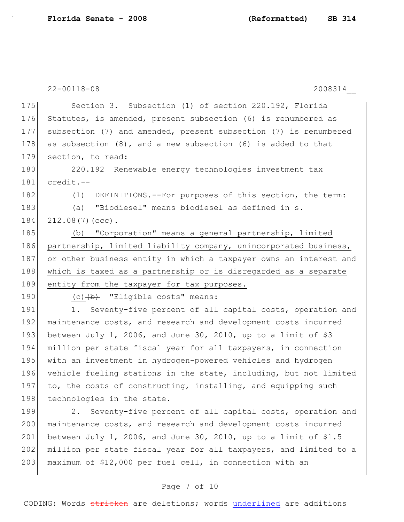175 Section 3. Subsection (1) of section 220.192, Florida 176 Statutes, is amended, present subsection (6) is renumbered as 177 subsection (7) and amended, present subsection (7) is renumbered 178 as subsection (8), and a new subsection (6) is added to that 179 section, to read:

180 220.192 Renewable energy technologies investment tax 181 credit.--

182 (1) DEFINITIONS.--For purposes of this section, the term:

183 (a) "Biodiesel" means biodiesel as defined in s.

184 212.08(7)(ccc).

185 (b) "Corporation" means a general partnership, limited 186 partnership, limited liability company, unincorporated business, 187 or other business entity in which a taxpayer owns an interest and 188 which is taxed as a partnership or is disregarded as a separate 189 entity from the taxpayer for tax purposes.

190  $(c)$   $(b)$  "Eligible costs" means:

191 1. Seventy-five percent of all capital costs, operation and 192 maintenance costs, and research and development costs incurred 193 between July 1, 2006, and June 30, 2010, up to a limit of  $$3$ 194 million per state fiscal year for all taxpayers, in connection 195 with an investment in hydrogen-powered vehicles and hydrogen 196 vehicle fueling stations in the state, including, but not limited 197 to, the costs of constructing, installing, and equipping such 198 technologies in the state.

199 2. Seventy-five percent of all capital costs, operation and 200 maintenance costs, and research and development costs incurred 201 between July 1, 2006, and June 30, 2010, up to a limit of \$1.5 202 million per state fiscal year for all taxpayers, and limited to a 203 maximum of \$12,000 per fuel cell, in connection with an

# Page 7 of 10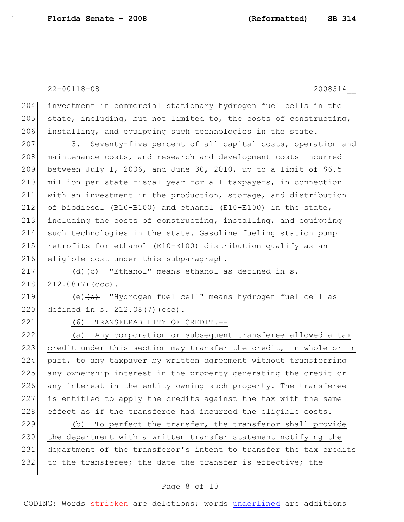204 investment in commercial stationary hydrogen fuel cells in the 205 state, including, but not limited to, the costs of constructing, 206 installing, and equipping such technologies in the state.

207 3. Seventy-five percent of all capital costs, operation and 208 maintenance costs, and research and development costs incurred between July 1, 2006, and June 30, 2010, up to a limit of \$6.5 million per state fiscal year for all taxpayers, in connection with an investment in the production, storage, and distribution of biodiesel (B10-B100) and ethanol (E10-E100) in the state, including the costs of constructing, installing, and equipping such technologies in the state. Gasoline fueling station pump retrofits for ethanol (E10-E100) distribution qualify as an 216 eligible cost under this subparagraph.

217 (d)  $\left(e\right)$  "Ethanol" means ethanol as defined in s.  $218$   $212.08(7)(ccc)$ .

219  $(e)$   $(d)$  "Hydrogen fuel cell" means hydrogen fuel cell as 220 defined in s. 212.08(7)(ccc).

221 (6) TRANSFERABILITY OF CREDIT.--

222 (a) Any corporation or subsequent transferee allowed a tax 223 credit under this section may transfer the credit, in whole or in 224 part, to any taxpayer by written agreement without transferring 225 any ownership interest in the property generating the credit or 226 any interest in the entity owning such property. The transferee 227 is entitled to apply the credits against the tax with the same 228 effect as if the transferee had incurred the eligible costs.

229 (b) To perfect the transfer, the transferor shall provide 230 the department with a written transfer statement notifying the 231 department of the transferor's intent to transfer the tax credits 232 to the transferee; the date the transfer is effective; the

### Page 8 of 10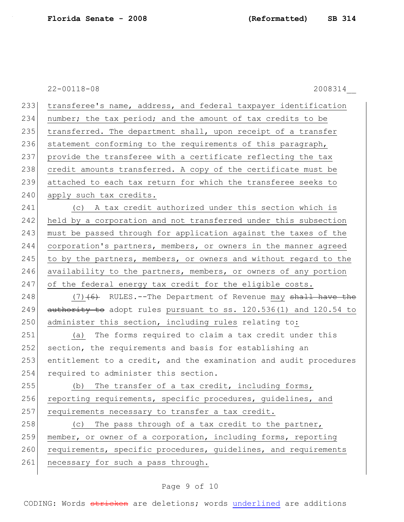233 transferee's name, address, and federal taxpayer identification 234 number; the tax period; and the amount of tax credits to be 235 transferred. The department shall, upon receipt of a transfer 236 statement conforming to the requirements of this paragraph, 237 provide the transferee with a certificate reflecting the tax 238 credit amounts transferred. A copy of the certificate must be 239 attached to each tax return for which the transferee seeks to 240 apply such tax credits. 241 (c) A tax credit authorized under this section which is 242 held by a corporation and not transferred under this subsection 243 must be passed through for application against the taxes of the 244 corporation's partners, members, or owners in the manner agreed 245 to by the partners, members, or owners and without regard to the 246 availability to the partners, members, or owners of any portion 247 of the federal energy tax credit for the eligible costs. 248  $(7)$   $(6)$  RULES.--The Department of Revenue may shall have the 249  $\overline{a}$  authority to adopt rules pursuant to ss. 120.536(1) and 120.54 to 250 administer this section, including rules relating to: 251 (a) The forms required to claim a tax credit under this 252 section, the requirements and basis for establishing an 253 entitlement to a credit, and the examination and audit procedures 254 required to administer this section. 255 (b) The transfer of a tax credit, including forms, 256 reporting requirements, specific procedures, guidelines, and 257 requirements necessary to transfer a tax credit. 258 (c) The pass through of a tax credit to the partner, 259 member, or owner of a corporation, including forms, reporting 260 requirements, specific procedures, quidelines, and requirements 261 necessary for such a pass through.

# Page 9 of 10